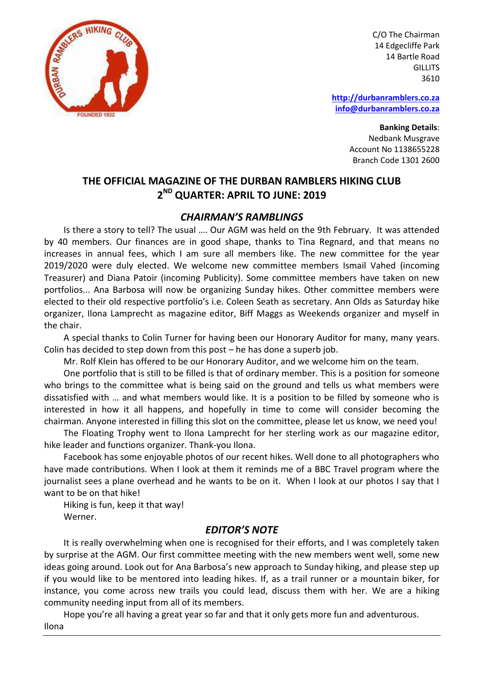

C/O The Chairman 14 Edgecliffe Park 14 Bartle Road **GILLITS** 3610

**[http://durbanramblers.co.za](http://durbanramblers.co.za/) [info@durbanramblers.co.za](mailto:info@durbanramblers.co.za)**

> **Banking Details**: Nedbank Musgrave Account No 1138655228 Branch Code 1301 2600

#### **THE OFFICIAL MAGAZINE OF THE DURBAN RAMBLERS HIKING CLUB 2 ND QUARTER: APRIL TO JUNE: 2019**

#### *CHAIRMAN'S RAMBLINGS*

Is there a story to tell? The usual …. Our AGM was held on the 9th February. It was attended by 40 members. Our finances are in good shape, thanks to Tina Regnard, and that means no increases in annual fees, which I am sure all members like. The new committee for the year 2019/2020 were duly elected. We welcome new committee members Ismail Vahed (incoming Treasurer) and Diana Patoir (incoming Publicity). Some committee members have taken on new portfolios... Ana Barbosa will now be organizing Sunday hikes. Other committee members were elected to their old respective portfolio's i.e. Coleen Seath as secretary. Ann Olds as Saturday hike organizer, Ilona Lamprecht as magazine editor, Biff Maggs as Weekends organizer and myself in the chair.

A special thanks to Colin Turner for having been our Honorary Auditor for many, many years. Colin has decided to step down from this post – he has done a superb job.

Mr. Rolf Klein has offered to be our Honorary Auditor, and we welcome him on the team.

One portfolio that is still to be filled is that of ordinary member. This is a position for someone who brings to the committee what is being said on the ground and tells us what members were dissatisfied with … and what members would like. It is a position to be filled by someone who is interested in how it all happens, and hopefully in time to come will consider becoming the chairman. Anyone interested in filling this slot on the committee, please let us know, we need you!

The Floating Trophy went to Ilona Lamprecht for her sterling work as our magazine editor, hike leader and functions organizer. Thank-you Ilona.

Facebook has some enjoyable photos of our recent hikes. Well done to all photographers who have made contributions. When I look at them it reminds me of a BBC Travel program where the journalist sees a plane overhead and he wants to be on it. When I look at our photos I say that I want to be on that hike!

Hiking is fun, keep it that way! Werner.

#### *EDITOR'S NOTE*

It is really overwhelming when one is recognised for their efforts, and I was completely taken by surprise at the AGM. Our first committee meeting with the new members went well, some new ideas going around. Look out for Ana Barbosa's new approach to Sunday hiking, and please step up if you would like to be mentored into leading hikes. If, as a trail runner or a mountain biker, for instance, you come across new trails you could lead, discuss them with her. We are a hiking community needing input from all of its members.

Hope you're all having a great year so far and that it only gets more fun and adventurous. Ilona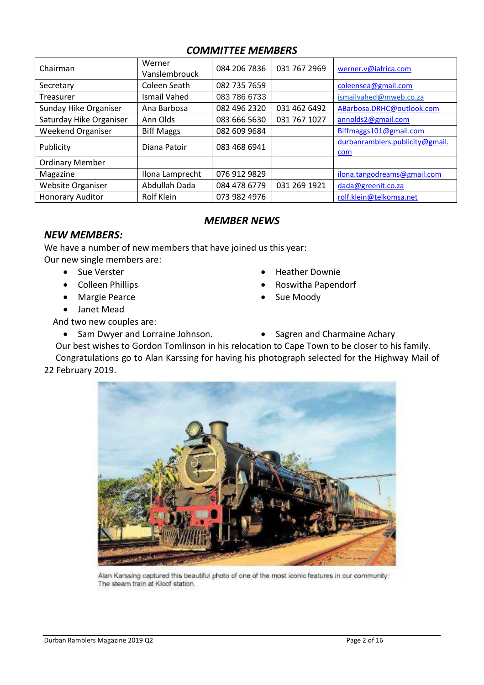#### *COMMITTEE MEMBERS*

| Chairman                 | Werner<br>Vanslembrouck | 084 206 7836 | 031 767 2969 | werner.v@iafrica.com                   |
|--------------------------|-------------------------|--------------|--------------|----------------------------------------|
| Secretary                | Coleen Seath            | 082 735 7659 |              | coleensea@gmail.com                    |
| Treasurer                | Ismail Vahed            | 083 786 6733 |              | ismailvahed@mweb.co.za                 |
| Sunday Hike Organiser    | Ana Barbosa             | 082 496 2320 | 031 462 6492 | ABarbosa.DRHC@outlook.com              |
| Saturday Hike Organiser  | Ann Olds                | 083 666 5630 | 031 767 1027 | annolds2@gmail.com                     |
| <b>Weekend Organiser</b> | <b>Biff Maggs</b>       | 082 609 9684 |              | Biffmaggs101@gmail.com                 |
| Publicity                | Diana Patoir            | 083 468 6941 |              | durbanramblers.publicity@gmail.<br>com |
| <b>Ordinary Member</b>   |                         |              |              |                                        |
| Magazine                 | Ilona Lamprecht         | 076 912 9829 |              | ilona.tangodreams@gmail.com            |
| <b>Website Organiser</b> | Abdullah Dada           | 084 478 6779 | 031 269 1921 | dada@greenit.co.za                     |
| <b>Honorary Auditor</b>  | Rolf Klein              | 073 982 4976 |              | rolf.klein@telkomsa.net                |

#### *MEMBER NEWS*

#### *NEW MEMBERS:*

We have a number of new members that have joined us this year: Our new single members are:

- 
- 
- Margie Pearce **Calculate Sue Moody**
- Janet Mead
- Sue Verster **Manual Accord Contract Contract Occupy** Heather Downie
- Colleen Phillips **Collegen Phillips Roswitha Papendorf** 
	-
	-

And two new couples are:

- Sam Dwyer and Lorraine Johnson. Sagren and Charmaine Achary
- Our best wishes to Gordon Tomlinson in his relocation to Cape Town to be closer to his family.

Congratulations go to Alan Karssing for having his photograph selected for the Highway Mail of 22 February 2019.



Alan Karssing captured this beautiful photo of one of the most iconic features in our community: The steam train at Kloof station.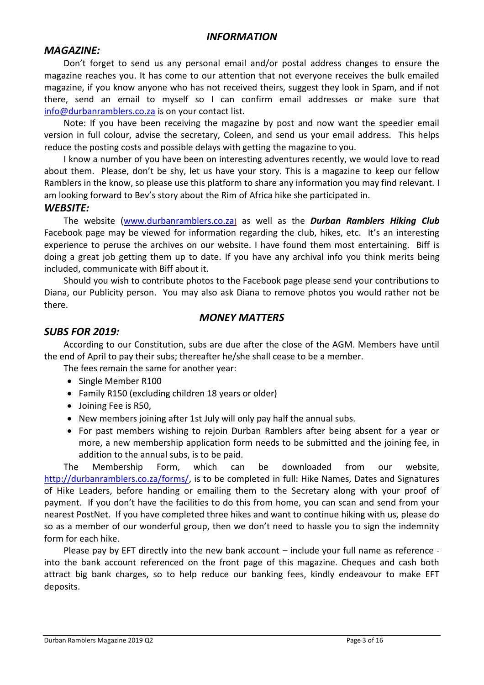#### *INFORMATION*

#### *MAGAZINE:*

Don't forget to send us any personal email and/or postal address changes to ensure the magazine reaches you. It has come to our attention that not everyone receives the bulk emailed magazine, if you know anyone who has not received theirs, suggest they look in Spam, and if not there, send an email to myself so I can confirm email addresses or make sure that [info@durbanramblers.co.za](mailto:info@durbanramblers.co.za) is on your contact list.

Note: If you have been receiving the magazine by post and now want the speedier email version in full colour, advise the secretary, Coleen, and send us your email address. This helps reduce the posting costs and possible delays with getting the magazine to you.

I know a number of you have been on interesting adventures recently, we would love to read about them. Please, don't be shy, let us have your story. This is a magazine to keep our fellow Ramblers in the know, so please use this platform to share any information you may find relevant. I am looking forward to Bev's story about the Rim of Africa hike she participated in.

#### *WEBSITE:*

The website [\(www.durbanramblers.co.za](http://www.durbanramblers.co.za)/)) as well as the *Durban Ramblers Hiking Club*  Facebook page may be viewed for information regarding the club, hikes, etc. It's an interesting experience to peruse the archives on our website. I have found them most entertaining. Biff is doing a great job getting them up to date. If you have any archival info you think merits being included, communicate with Biff about it.

Should you wish to contribute photos to the Facebook page please send your contributions to Diana, our Publicity person. You may also ask Diana to remove photos you would rather not be there.

#### *MONEY MATTERS*

#### *SUBS FOR 2019:*

According to our Constitution, subs are due after the close of the AGM. Members have until the end of April to pay their subs; thereafter he/she shall cease to be a member.

- The fees remain the same for another year:
- Single Member R100
- Family R150 (excluding children 18 years or older)
- Joining Fee is R50,
- New members joining after 1st July will only pay half the annual subs.
- For past members wishing to rejoin Durban Ramblers after being absent for a year or more, a new membership application form needs to be submitted and the joining fee, in addition to the annual subs, is to be paid.

The Membership Form, which can be downloaded from our website, [http://durbanramblers.co.za/forms/,](http://durbanramblers.co.za/forms/) is to be completed in full: Hike Names, Dates and Signatures of Hike Leaders, before handing or emailing them to the Secretary along with your proof of payment. If you don't have the facilities to do this from home, you can scan and send from your nearest PostNet. If you have completed three hikes and want to continue hiking with us, please do so as a member of our wonderful group, then we don't need to hassle you to sign the indemnity form for each hike.

Please pay by EFT directly into the new bank account – include your full name as reference into the bank account referenced on the front page of this magazine. Cheques and cash both attract big bank charges, so to help reduce our banking fees, kindly endeavour to make EFT deposits.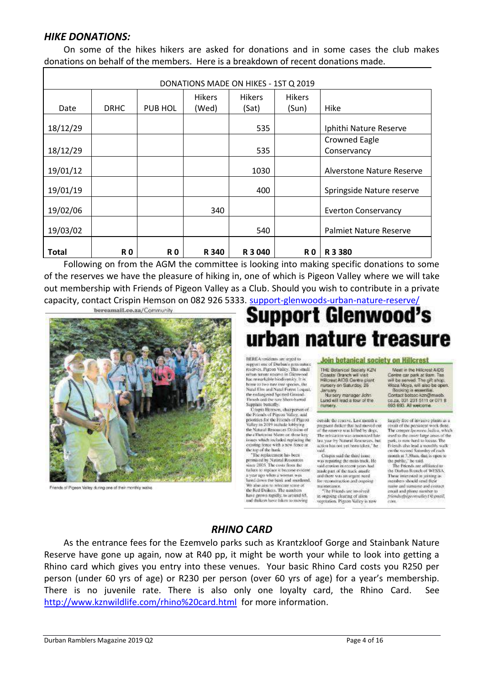#### *HIKE DONATIONS:*

On some of the hikes hikers are asked for donations and in some cases the club makes donations on behalf of the members. Here is a breakdown of recent donations made.

| DONATIONS MADE ON HIKES - 1ST Q 2019 |                |                |               |               |               |                               |
|--------------------------------------|----------------|----------------|---------------|---------------|---------------|-------------------------------|
|                                      |                |                | <b>Hikers</b> | <b>Hikers</b> | <b>Hikers</b> |                               |
| Date                                 | <b>DRHC</b>    | PUB HOL        | (Wed)         | (Sat)         | (Sun)         | Hike                          |
| 18/12/29                             |                |                |               | 535           |               | Iphithi Nature Reserve        |
|                                      |                |                |               |               |               | <b>Crowned Eagle</b>          |
| 18/12/29                             |                |                |               | 535           |               | Conservancy                   |
| 19/01/12                             |                |                |               | 1030          |               | Alverstone Nature Reserve     |
| 19/01/19                             |                |                |               | 400           |               | Springside Nature reserve     |
| 19/02/06                             |                |                | 340           |               |               | <b>Everton Conservancy</b>    |
| 19/03/02                             |                |                |               | 540           |               | <b>Palmiet Nature Reserve</b> |
| Total                                | R <sub>0</sub> | R <sub>0</sub> | R 340         | R 3 040       | R 0           | R 3 3 8 0                     |

Following on from the AGM the committee is looking into making specific donations to some of the reserves we have the pleasure of hiking in, one of which is Pigeon Valley where we will take out membership with Friends of Pigeon Valley as a Club. Should you wish to contribute in a private capacity, contact Crispin Hemson on 082 926 5333. [support-glenwoods-urban-nature-reserve/](https://bereamail.co.za/148216/support-glenwoods-urban-nature-reserve/)<br> **Contact Contact Contact Contact Contact Contact Contact Contact Contact Contact Contact Contact Contact Contact** 



Friends of Pigeon Valley during one of their monthly wake

## Support Glenwood's urban nature treasure

BEREA: coidents are teged to support one of Dorban's symmetries reserves. Pignon Valley. This small<br>triban nature reserve in Glenwood<br>has remarkable hiediversity. It is home to two rare may species, the Netel Elm and Natel Forest Loomt. the endangered Spotted Ground-<br>Thrush and the rare Short-barred Sepphire buriently.

Crispin Hereson, chargerson of the Friends of Pigeon Valley, and<br>promities for the Friends of Pigeon<br>Valley in 2019 include kidelying<br>the Natural Resources Division of the a Thekwini Metro on those key issues which is<br>cluded replacing the conting force with a new fence at the top of the bank.

"The replacement has been premised by Natural Resources<br>succ 2005. The costs from the<br>tailure to replace it become evident<br>a year ago when a wronan was hared down the bank and murdered. We also aim to a Hocate scene of the Red Duikers. The number have grown rapidly, to around 65,<br>and duikers have taken to moving

Join botanical society on Hillcrest THE Botanical Society KZN Coastal Branch will visit<br>Hillcreat AIDS Centre piant nursery on Saturday, 25

January<br>Nursery manager John<br>Lund will lead a four of the Lund will lead a lour of the minsery

outside the reserve. Last month at prognant dutker that had moved out.<br>of the reserve was killed by dogs. The relocation was associated late<br>last year by Natural Resources, but action has not yet been takes," he **vid** 

Crispin said the third issue was repairing the main track. He<br>said crosion in recent years had made part of the truck ansafe and there was an urgent need for reconstruction and orgoing

maintenance.<br>"The Prizeds are involved in origoing clearing of alien vogetation. Pigron Valley is now

Meet in the Hillcrest AIDS Centre car park at 9am. will be served. The gift shap.<br>Waza Moya, will also be open.<br>Booking is essential.<br>Contact botsoc-kzn@mwab. co.za. 031 201 5111 or 071 B 603 893 All weicome

largely free of invasive plants as a largely fire of invasive plants as a<br>result of the persistent work done.<br>The creeper fpomova indica, which<br>used to the cover large areas of the the cooper sponsors makes of the<br>park, is now herd to locate. The<br>Friends also lead a monthly walk on the vectoral Saturday of each

month at 7.30am, dan is open to<br>the poplic, he said.<br>The Friends are affiliated to<br>the Disthan Boarch of WESSA, Those interested in uniting to members should send their<br>name and sumasse and contact entail and plinne number to piendsopigeonrattey Phynosil, ców.

#### *RHINO CARD*

As the entrance fees for the Ezemvelo parks such as Krantzkloof Gorge and Stainbank Nature Reserve have gone up again, now at R40 pp, it might be worth your while to look into getting a Rhino card which gives you entry into these venues. Your basic Rhino Card costs you R250 per person (under 60 yrs of age) or R230 per person (over 60 yrs of age) for a year's membership. There is no juvenile rate. There is also only one loyalty card, the Rhino Card. See <http://www.kznwildlife.com/rhino%20card.html> for more information.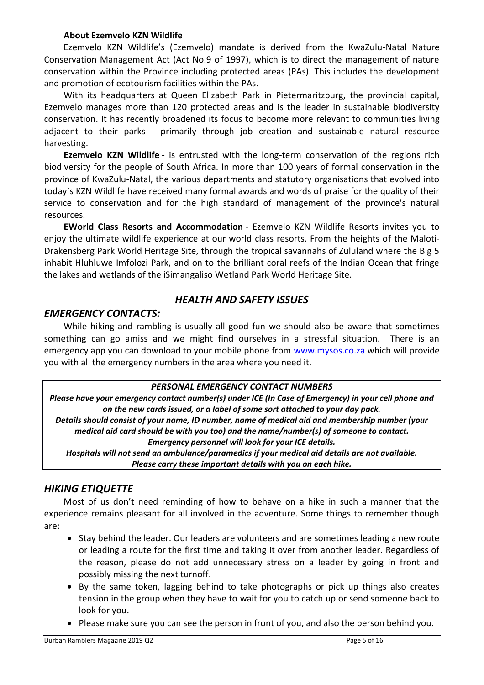#### **About Ezemvelo KZN Wildlife**

Ezemvelo KZN Wildlife's (Ezemvelo) mandate is derived from the KwaZulu-Natal Nature Conservation Management Act (Act No.9 of 1997), which is to direct the management of nature conservation within the Province including protected areas (PAs). This includes the development and promotion of ecotourism facilities within the PAs.

With its headquarters at Queen Elizabeth Park in Pietermaritzburg, the provincial capital, Ezemvelo manages more than 120 protected areas and is the leader in sustainable biodiversity conservation. It has recently broadened its focus to become more relevant to communities living adjacent to their parks - primarily through job creation and sustainable natural resource harvesting.

**Ezemvelo KZN Wildlife** - is entrusted with the long-term conservation of the regions rich biodiversity for the people of South Africa. In more than 100 years of formal conservation in the province of KwaZulu-Natal, the various departments and statutory organisations that evolved into today`s KZN Wildlife have received many formal awards and words of praise for the quality of their service to conservation and for the high standard of management of the province's natural resources.

**EWorld Class Resorts and Accommodation** - Ezemvelo KZN Wildlife Resorts invites you to enjoy the ultimate wildlife experience at our world class resorts. From the heights of the Maloti-Drakensberg Park World Heritage Site, through the tropical savannahs of Zululand where the Big 5 inhabit Hluhluwe Imfolozi Park, and on to the brilliant coral reefs of the Indian Ocean that fringe the lakes and wetlands of the iSimangaliso Wetland Park World Heritage Site.

#### *HEALTH AND SAFETY ISSUES*

#### *EMERGENCY CONTACTS:*

While hiking and rambling is usually all good fun we should also be aware that sometimes something can go amiss and we might find ourselves in a stressful situation. There is an emergency app you can download to your mobile phone from [www.mysos.co.za](http://www.mysos.co.za/) which will provide you with all the emergency numbers in the area where you need it.

#### *PERSONAL EMERGENCY CONTACT NUMBERS*

*Please have your emergency contact number(s) under ICE (In Case of Emergency) in your cell phone and on the new cards issued, or a label of some sort attached to your day pack. Details should consist of your name, ID number, name of medical aid and membership number (your* 

*medical aid card should be with you too) and the name/number(s) of someone to contact. Emergency personnel will look for your ICE details.*

*Hospitals will not send an ambulance/paramedics if your medical aid details are not available. Please carry these important details with you on each hike.*

#### *HIKING ETIQUETTE*

Most of us don't need reminding of how to behave on a hike in such a manner that the experience remains pleasant for all involved in the adventure. Some things to remember though are:

- Stay behind the leader. Our leaders are volunteers and are sometimes leading a new route or leading a route for the first time and taking it over from another leader. Regardless of the reason, please do not add unnecessary stress on a leader by going in front and possibly missing the next turnoff.
- By the same token, lagging behind to take photographs or pick up things also creates tension in the group when they have to wait for you to catch up or send someone back to look for you.
- Please make sure you can see the person in front of you, and also the person behind you.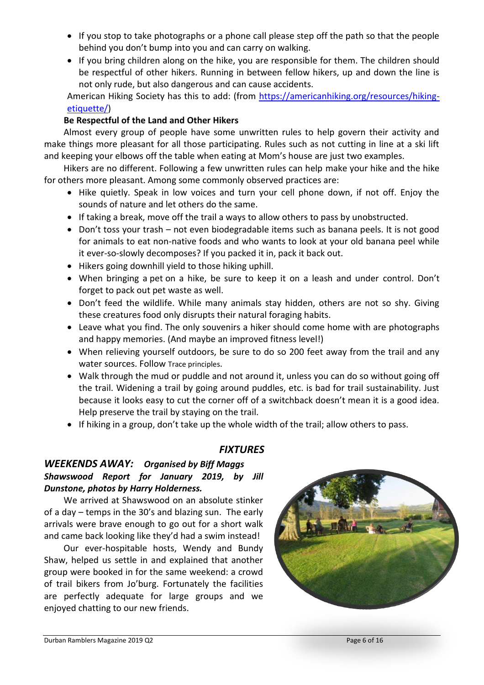- If you stop to take photographs or a phone call please step off the path so that the people behind you don't bump into you and can carry on walking.
- If you bring children along on the hike, you are responsible for them. The children should be respectful of other hikers. Running in between fellow hikers, up and down the line is not only rude, but also dangerous and can cause accidents.

American Hiking Society has this to add: (from [https://americanhiking.org/resources/hiking](https://americanhiking.org/resources/hiking-etiquette/)[etiquette/\)](https://americanhiking.org/resources/hiking-etiquette/)

#### **Be Respectful of the Land and Other Hikers**

Almost every group of people have some unwritten rules to help govern their activity and make things more pleasant for all those participating. Rules such as not cutting in line at a ski lift and keeping your elbows off the table when eating at Mom's house are just two examples.

Hikers are no different. Following a few unwritten rules can help make your hike and the hike for others more pleasant. Among some commonly observed practices are:

- Hike quietly. Speak in low voices and turn your cell phone down, if not off. Enjoy the sounds of nature and let others do the same.
- If taking a break, move off the trail a ways to allow others to pass by unobstructed.
- Don't toss your trash not even biodegradable items such as banana peels. It is not good for animals to eat non-native foods and who wants to look at your old banana peel while it ever-so-slowly decomposes? If you packed it in, pack it back out.
- Hikers going downhill yield to those hiking uphill.
- When bringing a [pet](https://americanhiking.org/resources/hiking-with-dogs/) on a hike, be sure to keep it on a leash and under control. Don't forget to pack out pet waste as well.
- Don't feed the wildlife. While many animals stay hidden, others are not so shy. Giving these creatures food only disrupts their natural foraging habits.
- Leave what you find. The only souvenirs a hiker should come home with are photographs and happy memories. (And maybe an improved fitness level!)
- When relieving yourself outdoors, be sure to do so 200 feet away from the trail and any water sources. Follow Trace principles.
- Walk through the mud or puddle and not around it, unless you can do so without going off the trail. Widening a trail by going around puddles, etc. is bad for trail sustainability. Just because it looks easy to cut the corner off of a switchback doesn't mean it is a good idea. Help preserve the trail by staying on the trail.
- If hiking in a group, don't take up the whole width of the trail; allow others to pass.

#### *FIXTURES*

#### *WEEKENDS AWAY: Organised by Biff Maggs Shawswood Report for January 2019, by Jill Dunstone, photos by Harry Holderness.*

We arrived at Shawswood on an absolute stinker of a day – temps in the 30's and blazing sun. The early arrivals were brave enough to go out for a short walk and came back looking like they'd had a swim instead!

Our ever-hospitable hosts, Wendy and Bundy Shaw, helped us settle in and explained that another group were booked in for the same weekend: a crowd of trail bikers from Jo'burg. Fortunately the facilities are perfectly adequate for large groups and we enjoyed chatting to our new friends.

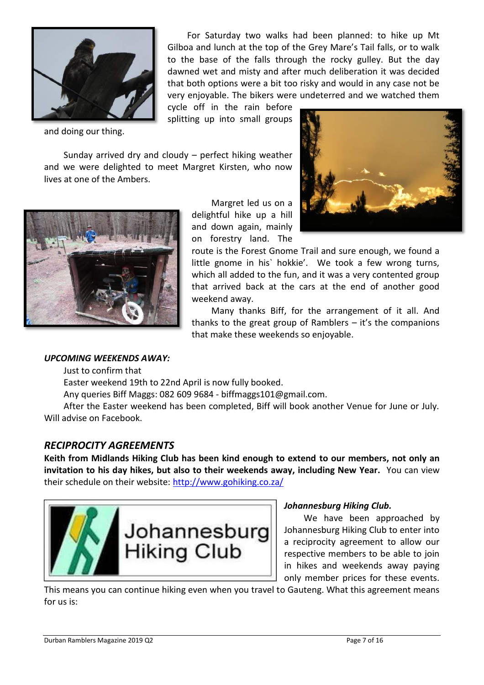

and doing our thing.

For Saturday two walks had been planned: to hike up Mt Gilboa and lunch at the top of the Grey Mare's Tail falls, or to walk to the base of the falls through the rocky gulley. But the day dawned wet and misty and after much deliberation it was decided that both options were a bit too risky and would in any case not be very enjoyable. The bikers were undeterred and we watched them

cycle off in the rain before splitting up into small groups

Sunday arrived dry and cloudy – perfect hiking weather and we were delighted to meet Margret Kirsten, who now lives at one of the Ambers.



Margret led us on a delightful hike up a hill and down again, mainly on forestry land. The



route is the Forest Gnome Trail and sure enough, we found a little gnome in his` hokkie'. We took a few wrong turns, which all added to the fun, and it was a very contented group that arrived back at the cars at the end of another good weekend away.

Many thanks Biff, for the arrangement of it all. And thanks to the great group of Ramblers – it's the companions that make these weekends so enjoyable.

#### *UPCOMING WEEKENDS AWAY:*

Just to confirm that

Easter weekend 19th to 22nd April is now fully booked.

Any queries Biff Maggs: 082 609 9684 - biffmaggs101@gmail.com.

After the Easter weekend has been completed, Biff will book another Venue for June or July. Will advise on Facebook.

#### *RECIPROCITY AGREEMENTS*

**Keith from Midlands Hiking Club has been kind enough to extend to our members, not only an invitation to his day hikes, but also to their weekends away, including New Year.** You can view their schedule on their website:<http://www.gohiking.co.za/>



#### *Johannesburg Hiking Club.*

We have been approached by Johannesburg Hiking Club to enter into a reciprocity agreement to allow our respective members to be able to join in hikes and weekends away paying only member prices for these events.

This means you can continue hiking even when you travel to Gauteng. What this agreement means for us is: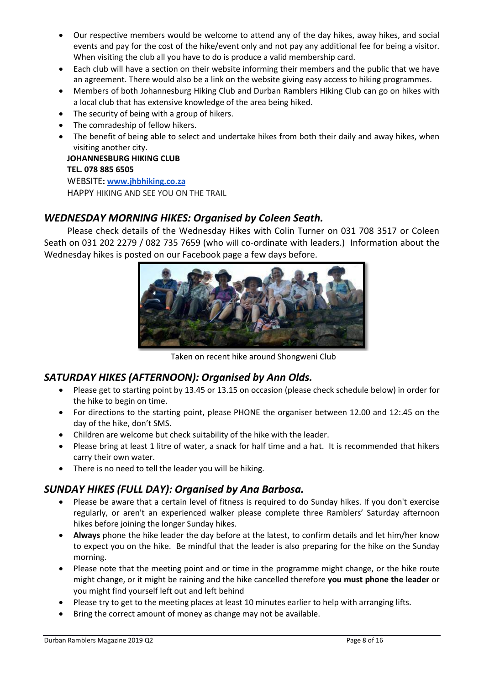- Our respective members would be welcome to attend any of the day hikes, away hikes, and social events and pay for the cost of the hike/event only and not pay any additional fee for being a visitor. When visiting the club all you have to do is produce a valid membership card.
- Each club will have a section on their website informing their members and the public that we have an agreement. There would also be a link on the website giving easy access to hiking programmes.
- Members of both Johannesburg Hiking Club and Durban Ramblers Hiking Club can go on hikes with a local club that has extensive knowledge of the area being hiked.
- The security of being with a group of hikers.
- The comradeship of fellow hikers.
- The benefit of being able to select and undertake hikes from both their daily and away hikes, when visiting another city.

**JOHANNESBURG HIKING CLUB TEL. 078 885 6505**

WEBSITE**: [www.jhbhiking.co.za](http://www.jhbhiking.co.za/)** HAPPY HIKING AND SEE YOU ON THE TRAIL

#### *WEDNESDAY MORNING HIKES: Organised by Coleen Seath.*

Please check details of the Wednesday Hikes with Colin Turner on 031 708 3517 or Coleen Seath on 031 202 2279 / 082 735 7659 (who will co-ordinate with leaders.) Information about the Wednesday hikes is posted on our Facebook page a few days before.



Taken on recent hike around Shongweni Club

#### *SATURDAY HIKES (AFTERNOON): Organised by Ann Olds.*

- Please get to starting point by 13.45 or 13.15 on occasion (please check schedule below) in order for the hike to begin on time.
- For directions to the starting point, please PHONE the organiser between 12.00 and 12:.45 on the day of the hike, don't SMS.
- Children are welcome but check suitability of the hike with the leader.
- Please bring at least 1 litre of water, a snack for half time and a hat. It is recommended that hikers carry their own water.
- There is no need to tell the leader you will be hiking.

#### *SUNDAY HIKES (FULL DAY): Organised by Ana Barbosa.*

- Please be aware that a certain level of fitness is required to do Sunday hikes. If you don't exercise regularly, or aren't an experienced walker please complete three Ramblers' Saturday afternoon hikes before joining the longer Sunday hikes.
- **Always** phone the hike leader the day before at the latest, to confirm details and let him/her know to expect you on the hike. Be mindful that the leader is also preparing for the hike on the Sunday morning.
- Please note that the meeting point and or time in the programme might change, or the hike route might change, or it might be raining and the hike cancelled therefore **you must phone the leader** or you might find yourself left out and left behind
- Please try to get to the meeting places at least 10 minutes earlier to help with arranging lifts.
- Bring the correct amount of money as change may not be available.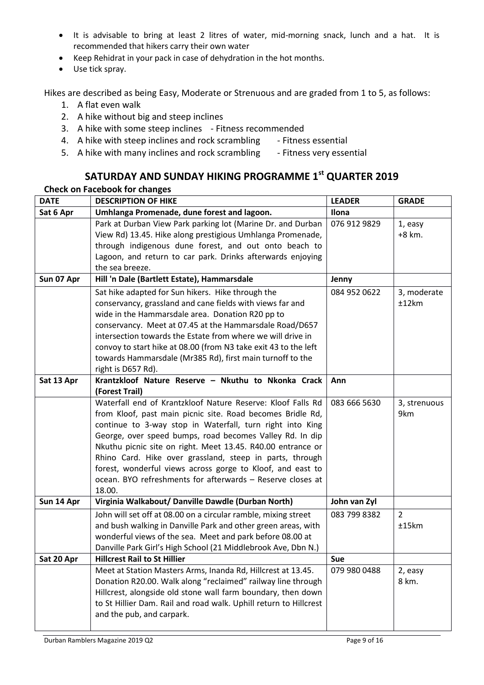- It is advisable to bring at least 2 litres of water, mid-morning snack, lunch and a hat. It is recommended that hikers carry their own water
- Keep Rehidrat in your pack in case of dehydration in the hot months.
- Use tick spray.

Hikes are described as being Easy, Moderate or Strenuous and are graded from 1 to 5, as follows:

- 1. A flat even walk
- 2. A hike without big and steep inclines
- 3. A hike with some steep inclines Fitness recommended
- 4. A hike with steep inclines and rock scrambling Fitness essential
- 5. A hike with many inclines and rock scrambling Fitness very essential

### **SATURDAY AND SUNDAY HIKING PROGRAMME 1st QUARTER 2019**

#### **Check on Facebook for changes**

| <b>DATE</b> | <b>DESCRIPTION OF HIKE</b>                                        | <b>LEADER</b> | <b>GRADE</b> |
|-------------|-------------------------------------------------------------------|---------------|--------------|
| Sat 6 Apr   | Umhlanga Promenade, dune forest and lagoon.                       | Ilona         |              |
|             | Park at Durban View Park parking lot (Marine Dr. and Durban       | 076 912 9829  | 1, easy      |
|             | View Rd) 13.45. Hike along prestigious Umhlanga Promenade,        |               | $+8$ km.     |
|             | through indigenous dune forest, and out onto beach to             |               |              |
|             | Lagoon, and return to car park. Drinks afterwards enjoying        |               |              |
|             | the sea breeze.                                                   |               |              |
| Sun 07 Apr  | Hill 'n Dale (Bartlett Estate), Hammarsdale                       | Jenny         |              |
|             | Sat hike adapted for Sun hikers. Hike through the                 | 084 952 0622  | 3, moderate  |
|             | conservancy, grassland and cane fields with views far and         |               | ±12km        |
|             | wide in the Hammarsdale area. Donation R20 pp to                  |               |              |
|             | conservancy. Meet at 07.45 at the Hammarsdale Road/D657           |               |              |
|             | intersection towards the Estate from where we will drive in       |               |              |
|             | convoy to start hike at 08.00 (from N3 take exit 43 to the left   |               |              |
|             | towards Hammarsdale (Mr385 Rd), first main turnoff to the         |               |              |
|             | right is D657 Rd).                                                |               |              |
| Sat 13 Apr  | Krantzkloof Nature Reserve - Nkuthu to Nkonka Crack               | Ann           |              |
|             | (Forest Trail)                                                    |               |              |
|             | Waterfall end of Krantzkloof Nature Reserve: Kloof Falls Rd       | 083 666 5630  | 3, strenuous |
|             | from Kloof, past main picnic site. Road becomes Bridle Rd,        |               | 9km          |
|             | continue to 3-way stop in Waterfall, turn right into King         |               |              |
|             | George, over speed bumps, road becomes Valley Rd. In dip          |               |              |
|             | Nkuthu picnic site on right. Meet 13.45. R40.00 entrance or       |               |              |
|             | Rhino Card. Hike over grassland, steep in parts, through          |               |              |
|             | forest, wonderful views across gorge to Kloof, and east to        |               |              |
|             | ocean. BYO refreshments for afterwards - Reserve closes at        |               |              |
|             | 18.00.                                                            |               |              |
| Sun 14 Apr  | Virginia Walkabout/ Danville Dawdle (Durban North)                | John van Zyl  |              |
|             | John will set off at 08.00 on a circular ramble, mixing street    | 083 799 8382  | 2            |
|             | and bush walking in Danville Park and other green areas, with     |               | ±15km        |
|             | wonderful views of the sea. Meet and park before 08.00 at         |               |              |
|             | Danville Park Girl's High School (21 Middlebrook Ave, Dbn N.)     |               |              |
| Sat 20 Apr  | <b>Hillcrest Rail to St Hillier</b>                               | <b>Sue</b>    |              |
|             | Meet at Station Masters Arms, Inanda Rd, Hillcrest at 13.45.      | 079 980 0488  | 2, easy      |
|             | Donation R20.00. Walk along "reclaimed" railway line through      |               | 8 km.        |
|             | Hillcrest, alongside old stone wall farm boundary, then down      |               |              |
|             | to St Hillier Dam. Rail and road walk. Uphill return to Hillcrest |               |              |
|             | and the pub, and carpark.                                         |               |              |
|             |                                                                   |               |              |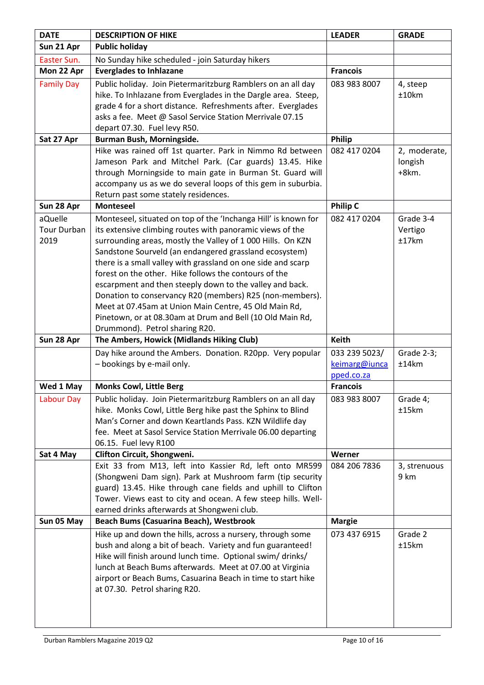| <b>DATE</b>                           | <b>DESCRIPTION OF HIKE</b>                                                                                                                                                                                                                                                                                                                                                                                                                                                                                                                                                                                                                                    | <b>LEADER</b>                                | <b>GRADE</b>                       |
|---------------------------------------|---------------------------------------------------------------------------------------------------------------------------------------------------------------------------------------------------------------------------------------------------------------------------------------------------------------------------------------------------------------------------------------------------------------------------------------------------------------------------------------------------------------------------------------------------------------------------------------------------------------------------------------------------------------|----------------------------------------------|------------------------------------|
| Sun 21 Apr                            | <b>Public holiday</b>                                                                                                                                                                                                                                                                                                                                                                                                                                                                                                                                                                                                                                         |                                              |                                    |
| Easter Sun.                           | No Sunday hike scheduled - join Saturday hikers                                                                                                                                                                                                                                                                                                                                                                                                                                                                                                                                                                                                               |                                              |                                    |
| Mon 22 Apr                            | <b>Everglades to Inhlazane</b>                                                                                                                                                                                                                                                                                                                                                                                                                                                                                                                                                                                                                                | <b>Francois</b>                              |                                    |
| <b>Family Day</b>                     | Public holiday. Join Pietermaritzburg Ramblers on an all day<br>hike. To Inhlazane from Everglades in the Dargle area. Steep,<br>grade 4 for a short distance. Refreshments after. Everglades<br>asks a fee. Meet @ Sasol Service Station Merrivale 07.15<br>depart 07.30. Fuel levy R50.                                                                                                                                                                                                                                                                                                                                                                     | 083 983 8007                                 | 4, steep<br>±10km                  |
| Sat 27 Apr                            | Burman Bush, Morningside.                                                                                                                                                                                                                                                                                                                                                                                                                                                                                                                                                                                                                                     | Philip                                       |                                    |
|                                       | Hike was rained off 1st quarter. Park in Nimmo Rd between<br>Jameson Park and Mitchel Park. (Car guards) 13.45. Hike<br>through Morningside to main gate in Burman St. Guard will<br>accompany us as we do several loops of this gem in suburbia.<br>Return past some stately residences.                                                                                                                                                                                                                                                                                                                                                                     | 082 417 0204                                 | 2, moderate,<br>longish<br>$+8km.$ |
| Sun 28 Apr                            | <b>Monteseel</b>                                                                                                                                                                                                                                                                                                                                                                                                                                                                                                                                                                                                                                              | <b>Philip C</b>                              |                                    |
| aQuelle<br><b>Tour Durban</b><br>2019 | Monteseel, situated on top of the 'Inchanga Hill' is known for<br>its extensive climbing routes with panoramic views of the<br>surrounding areas, mostly the Valley of 1 000 Hills. On KZN<br>Sandstone Sourveld (an endangered grassland ecosystem)<br>there is a small valley with grassland on one side and scarp<br>forest on the other. Hike follows the contours of the<br>escarpment and then steeply down to the valley and back.<br>Donation to conservancy R20 (members) R25 (non-members).<br>Meet at 07.45am at Union Main Centre, 45 Old Main Rd,<br>Pinetown, or at 08.30am at Drum and Bell (10 Old Main Rd,<br>Drummond). Petrol sharing R20. | 082 417 0204                                 | Grade 3-4<br>Vertigo<br>±17km      |
| Sun 28 Apr                            | The Ambers, Howick (Midlands Hiking Club)                                                                                                                                                                                                                                                                                                                                                                                                                                                                                                                                                                                                                     | <b>Keith</b>                                 |                                    |
|                                       | Day hike around the Ambers. Donation. R20pp. Very popular<br>- bookings by e-mail only.                                                                                                                                                                                                                                                                                                                                                                                                                                                                                                                                                                       | 033 239 5023/<br>keimarg@iunca<br>pped.co.za | Grade 2-3;<br>±14km                |
| Wed 1 May                             | <b>Monks Cowl, Little Berg</b>                                                                                                                                                                                                                                                                                                                                                                                                                                                                                                                                                                                                                                | <b>Francois</b>                              |                                    |
| Labour Day                            | Public holiday. Join Pietermaritzburg Ramblers on an all day<br>hike. Monks Cowl, Little Berg hike past the Sphinx to Blind<br>Man's Corner and down Keartlands Pass. KZN Wildlife day<br>fee. Meet at Sasol Service Station Merrivale 06.00 departing<br>06.15. Fuel levy R100                                                                                                                                                                                                                                                                                                                                                                               | 083 983 8007                                 | Grade 4;<br>±15km                  |
| Sat 4 May                             | Clifton Circuit, Shongweni.                                                                                                                                                                                                                                                                                                                                                                                                                                                                                                                                                                                                                                   | Werner                                       |                                    |
|                                       | Exit 33 from M13, left into Kassier Rd, left onto MR599<br>(Shongweni Dam sign). Park at Mushroom farm (tip security<br>guard) 13.45. Hike through cane fields and uphill to Clifton<br>Tower. Views east to city and ocean. A few steep hills. Well-<br>earned drinks afterwards at Shongweni club.                                                                                                                                                                                                                                                                                                                                                          | 084 206 7836                                 | 3, strenuous<br>9 km               |
| Sun 05 May                            | Beach Bums (Casuarina Beach), Westbrook                                                                                                                                                                                                                                                                                                                                                                                                                                                                                                                                                                                                                       | <b>Margie</b>                                |                                    |
|                                       | Hike up and down the hills, across a nursery, through some<br>bush and along a bit of beach. Variety and fun guaranteed!<br>Hike will finish around lunch time. Optional swim/ drinks/<br>lunch at Beach Bums afterwards. Meet at 07.00 at Virginia<br>airport or Beach Bums, Casuarina Beach in time to start hike<br>at 07.30. Petrol sharing R20.                                                                                                                                                                                                                                                                                                          | 073 437 6915                                 | Grade 2<br>±15km                   |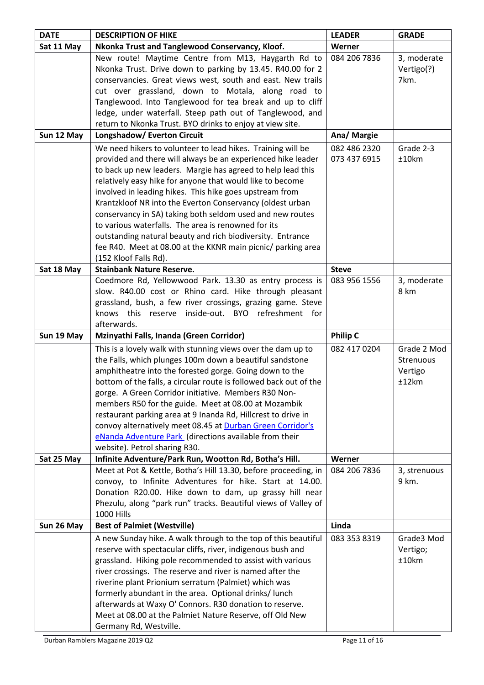| <b>DATE</b> | <b>DESCRIPTION OF HIKE</b>                                                                                            | <b>LEADER</b>   | <b>GRADE</b> |
|-------------|-----------------------------------------------------------------------------------------------------------------------|-----------------|--------------|
| Sat 11 May  | Nkonka Trust and Tanglewood Conservancy, Kloof.                                                                       | Werner          |              |
|             | New route! Maytime Centre from M13, Haygarth Rd to                                                                    | 084 206 7836    | 3, moderate  |
|             | Nkonka Trust. Drive down to parking by 13.45. R40.00 for 2                                                            |                 | Vertigo(?)   |
|             | conservancies. Great views west, south and east. New trails                                                           |                 | 7km.         |
|             | cut over grassland, down to Motala, along road to                                                                     |                 |              |
|             | Tanglewood. Into Tanglewood for tea break and up to cliff                                                             |                 |              |
|             | ledge, under waterfall. Steep path out of Tanglewood, and                                                             |                 |              |
|             | return to Nkonka Trust. BYO drinks to enjoy at view site.                                                             |                 |              |
| Sun 12 May  | Longshadow/ Everton Circuit                                                                                           | Ana/ Margie     |              |
|             | We need hikers to volunteer to lead hikes. Training will be                                                           | 082 486 2320    | Grade 2-3    |
|             | provided and there will always be an experienced hike leader                                                          | 073 437 6915    | ±10km        |
|             | to back up new leaders. Margie has agreed to help lead this                                                           |                 |              |
|             | relatively easy hike for anyone that would like to become                                                             |                 |              |
|             | involved in leading hikes. This hike goes upstream from                                                               |                 |              |
|             | Krantzkloof NR into the Everton Conservancy (oldest urban                                                             |                 |              |
|             | conservancy in SA) taking both seldom used and new routes                                                             |                 |              |
|             | to various waterfalls. The area is renowned for its                                                                   |                 |              |
|             | outstanding natural beauty and rich biodiversity. Entrance                                                            |                 |              |
|             | fee R40. Meet at 08.00 at the KKNR main picnic/ parking area                                                          |                 |              |
|             | (152 Kloof Falls Rd).<br><b>Stainbank Nature Reserve.</b>                                                             | <b>Steve</b>    |              |
| Sat 18 May  | Coedmore Rd, Yellowwood Park. 13.30 as entry process is                                                               | 083 956 1556    | 3, moderate  |
|             | slow. R40.00 cost or Rhino card. Hike through pleasant                                                                |                 | 8 km         |
|             | grassland, bush, a few river crossings, grazing game. Steve                                                           |                 |              |
|             | inside-out. BYO<br>knows<br>this<br>reserve<br>refreshment for                                                        |                 |              |
|             | afterwards.                                                                                                           |                 |              |
|             | Mzinyathi Falls, Inanda (Green Corridor)                                                                              |                 |              |
|             |                                                                                                                       |                 |              |
| Sun 19 May  |                                                                                                                       | <b>Philip C</b> |              |
|             | This is a lovely walk with stunning views over the dam up to                                                          | 082 417 0204    | Grade 2 Mod  |
|             | the Falls, which plunges 100m down a beautiful sandstone                                                              |                 | Strenuous    |
|             | amphitheatre into the forested gorge. Going down to the                                                               |                 | Vertigo      |
|             | bottom of the falls, a circular route is followed back out of the                                                     |                 | ±12km        |
|             | gorge. A Green Corridor initiative. Members R30 Non-                                                                  |                 |              |
|             | members R50 for the guide. Meet at 08.00 at Mozambik<br>restaurant parking area at 9 Inanda Rd, Hillcrest to drive in |                 |              |
|             | convoy alternatively meet 08.45 at Durban Green Corridor's                                                            |                 |              |
|             | eNanda Adventure Park (directions available from their                                                                |                 |              |
|             | website). Petrol sharing R30.                                                                                         |                 |              |
| Sat 25 May  | Infinite Adventure/Park Run, Wootton Rd, Botha's Hill.                                                                | Werner          |              |
|             | Meet at Pot & Kettle, Botha's Hill 13.30, before proceeding, in                                                       | 084 206 7836    | 3, strenuous |
|             | convoy, to Infinite Adventures for hike. Start at 14.00.                                                              |                 | 9 km.        |
|             | Donation R20.00. Hike down to dam, up grassy hill near                                                                |                 |              |
|             | Phezulu, along "park run" tracks. Beautiful views of Valley of                                                        |                 |              |
|             | <b>1000 Hills</b>                                                                                                     |                 |              |
| Sun 26 May  | <b>Best of Palmiet (Westville)</b>                                                                                    | Linda           |              |
|             | A new Sunday hike. A walk through to the top of this beautiful                                                        | 083 353 8319    | Grade3 Mod   |
|             | reserve with spectacular cliffs, river, indigenous bush and                                                           |                 | Vertigo;     |
|             | grassland. Hiking pole recommended to assist with various                                                             |                 | ±10km        |
|             | river crossings. The reserve and river is named after the                                                             |                 |              |
|             | riverine plant Prionium serratum (Palmiet) which was                                                                  |                 |              |
|             | formerly abundant in the area. Optional drinks/ lunch                                                                 |                 |              |
|             | afterwards at Waxy O' Connors. R30 donation to reserve.                                                               |                 |              |
|             | Meet at 08.00 at the Palmiet Nature Reserve, off Old New<br>Germany Rd, Westville.                                    |                 |              |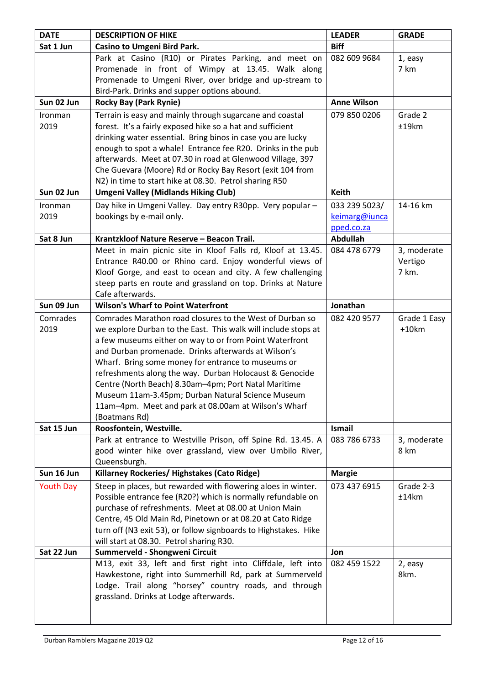| <b>DATE</b>      | <b>DESCRIPTION OF HIKE</b>                                                                                                 | <b>LEADER</b>      | <b>GRADE</b>            |
|------------------|----------------------------------------------------------------------------------------------------------------------------|--------------------|-------------------------|
| Sat 1 Jun        | <b>Casino to Umgeni Bird Park.</b>                                                                                         | <b>Biff</b>        |                         |
|                  | Park at Casino (R10) or Pirates Parking, and meet on                                                                       | 082 609 9684       | 1, easy                 |
|                  | Promenade in front of Wimpy at 13.45. Walk along                                                                           |                    | 7 km                    |
|                  | Promenade to Umgeni River, over bridge and up-stream to                                                                    |                    |                         |
|                  | Bird-Park. Drinks and supper options abound.                                                                               |                    |                         |
| Sun 02 Jun       | <b>Rocky Bay (Park Rynie)</b>                                                                                              | <b>Anne Wilson</b> |                         |
| Ironman          | Terrain is easy and mainly through sugarcane and coastal                                                                   | 079 850 0206       | Grade 2                 |
| 2019             | forest. It's a fairly exposed hike so a hat and sufficient                                                                 |                    | ±19km                   |
|                  | drinking water essential. Bring binos in case you are lucky                                                                |                    |                         |
|                  | enough to spot a whale! Entrance fee R20. Drinks in the pub                                                                |                    |                         |
|                  | afterwards. Meet at 07.30 in road at Glenwood Village, 397                                                                 |                    |                         |
|                  | Che Guevara (Moore) Rd or Rocky Bay Resort (exit 104 from                                                                  |                    |                         |
|                  | N2) in time to start hike at 08.30. Petrol sharing R50                                                                     |                    |                         |
| Sun 02 Jun       | <b>Umgeni Valley (Midlands Hiking Club)</b>                                                                                | <b>Keith</b>       |                         |
| Ironman          | Day hike in Umgeni Valley. Day entry R30pp. Very popular -                                                                 | 033 239 5023/      | 14-16 km                |
| 2019             | bookings by e-mail only.                                                                                                   | keimarg@iunca      |                         |
|                  |                                                                                                                            | pped.co.za         |                         |
| Sat 8 Jun        | Krantzkloof Nature Reserve - Beacon Trail.                                                                                 | <b>Abdullah</b>    |                         |
|                  | Meet in main picnic site in Kloof Falls rd, Kloof at 13.45.                                                                | 084 478 6779       | 3, moderate             |
|                  | Entrance R40.00 or Rhino card. Enjoy wonderful views of                                                                    |                    | Vertigo                 |
|                  | Kloof Gorge, and east to ocean and city. A few challenging                                                                 |                    | 7 km.                   |
|                  | steep parts en route and grassland on top. Drinks at Nature<br>Cafe afterwards.                                            |                    |                         |
| Sun 09 Jun       | <b>Wilson's Wharf to Point Waterfront</b>                                                                                  | Jonathan           |                         |
|                  |                                                                                                                            |                    |                         |
| Comrades<br>2019 | Comrades Marathon road closures to the West of Durban so<br>we explore Durban to the East. This walk will include stops at | 082 420 9577       | Grade 1 Easy<br>$+10km$ |
|                  | a few museums either on way to or from Point Waterfront                                                                    |                    |                         |
|                  | and Durban promenade. Drinks afterwards at Wilson's                                                                        |                    |                         |
|                  | Wharf. Bring some money for entrance to museums or                                                                         |                    |                         |
|                  | refreshments along the way. Durban Holocaust & Genocide                                                                    |                    |                         |
|                  | Centre (North Beach) 8.30am-4pm; Port Natal Maritime                                                                       |                    |                         |
|                  | Museum 11am-3.45pm; Durban Natural Science Museum                                                                          |                    |                         |
|                  | 11am-4pm. Meet and park at 08.00am at Wilson's Wharf                                                                       |                    |                         |
|                  | (Boatmans Rd)                                                                                                              |                    |                         |
| Sat 15 Jun       | Roosfontein, Westville.                                                                                                    | Ismail             |                         |
|                  | Park at entrance to Westville Prison, off Spine Rd. 13.45. A                                                               | 083 786 6733       | 3, moderate             |
|                  | good winter hike over grassland, view over Umbilo River,                                                                   |                    | 8 km                    |
|                  | Queensburgh.                                                                                                               |                    |                         |
| Sun 16 Jun       | Killarney Rockeries/Highstakes (Cato Ridge)                                                                                | <b>Margie</b>      |                         |
| <b>Youth Day</b> | Steep in places, but rewarded with flowering aloes in winter.                                                              | 073 437 6915       | Grade 2-3               |
|                  | Possible entrance fee (R20?) which is normally refundable on                                                               |                    | ±14km                   |
|                  | purchase of refreshments. Meet at 08.00 at Union Main                                                                      |                    |                         |
|                  | Centre, 45 Old Main Rd, Pinetown or at 08.20 at Cato Ridge                                                                 |                    |                         |
|                  | turn off (N3 exit 53), or follow signboards to Highstakes. Hike                                                            |                    |                         |
|                  | will start at 08.30. Petrol sharing R30.                                                                                   |                    |                         |
| Sat 22 Jun       | Summerveld - Shongweni Circuit                                                                                             | Jon                |                         |
|                  | M13, exit 33, left and first right into Cliffdale, left into<br>Hawkestone, right into Summerhill Rd, park at Summerveld   | 082 459 1522       | 2, easy<br>8km.         |
|                  | Lodge. Trail along "horsey" country roads, and through                                                                     |                    |                         |
|                  | grassland. Drinks at Lodge afterwards.                                                                                     |                    |                         |
|                  |                                                                                                                            |                    |                         |
|                  |                                                                                                                            |                    |                         |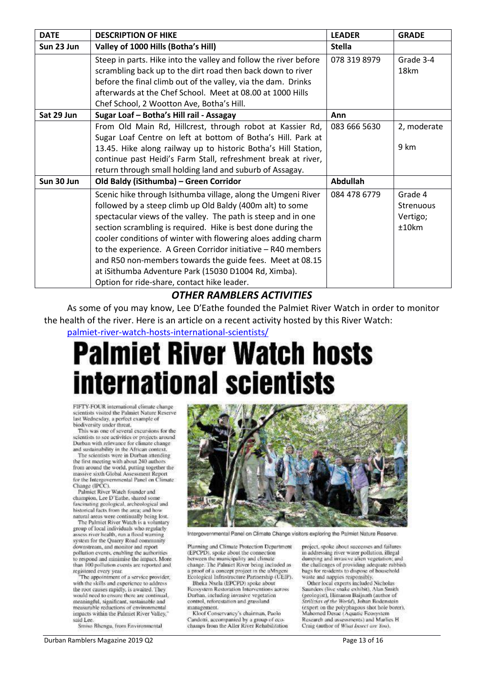| <b>DATE</b> | <b>DESCRIPTION OF HIKE</b>                                       | <b>LEADER</b>   | <b>GRADE</b>     |
|-------------|------------------------------------------------------------------|-----------------|------------------|
| Sun 23 Jun  | Valley of 1000 Hills (Botha's Hill)                              | <b>Stella</b>   |                  |
|             | Steep in parts. Hike into the valley and follow the river before | 078 319 8979    | Grade 3-4        |
|             | scrambling back up to the dirt road then back down to river      |                 | 18km             |
|             | before the final climb out of the valley, via the dam. Drinks    |                 |                  |
|             | afterwards at the Chef School. Meet at 08.00 at 1000 Hills       |                 |                  |
|             | Chef School, 2 Wootton Ave, Botha's Hill.                        |                 |                  |
| Sat 29 Jun  | Sugar Loaf - Botha's Hill rail - Assagay                         | Ann             |                  |
|             | From Old Main Rd, Hillcrest, through robot at Kassier Rd,        | 083 666 5630    | 2, moderate      |
|             | Sugar Loaf Centre on left at bottom of Botha's Hill. Park at     |                 |                  |
|             | 13.45. Hike along railway up to historic Botha's Hill Station,   |                 | 9 km             |
|             | continue past Heidi's Farm Stall, refreshment break at river,    |                 |                  |
|             | return through small holding land and suburb of Assagay.         |                 |                  |
| Sun 30 Jun  | Old Baldy (iSithumba) - Green Corridor                           | <b>Abdullah</b> |                  |
|             | Scenic hike through Isithumba village, along the Umgeni River    | 084 478 6779    | Grade 4          |
|             | followed by a steep climb up Old Baldy (400m alt) to some        |                 | <b>Strenuous</b> |
|             | spectacular views of the valley. The path is steep and in one    |                 | Vertigo;         |
|             | section scrambling is required. Hike is best done during the     |                 | ±10km            |
|             | cooler conditions of winter with flowering aloes adding charm    |                 |                  |
|             | to the experience. A Green Corridor initiative - R40 members     |                 |                  |
|             | and R50 non-members towards the guide fees. Meet at 08.15        |                 |                  |
|             | at iSithumba Adventure Park (15030 D1004 Rd, Ximba).             |                 |                  |
|             | Option for ride-share, contact hike leader.                      |                 |                  |

#### *OTHER RAMBLERS ACTIVITIES*

As some of you may know, Lee D'Eathe founded the Palmiet River Watch in order to monitor the health of the river. Here is an article on a recent activity hosted by this River Watch:

[palmiet-river-watch-hosts-international-scientists/](https://highwaymail.co.za/310883/palmiet-river-watch-hosts-international-scientists/)

# **Palmiet River Watch hosts international scientists**

FIFTY-FOUR international climate change scientists visited the Palmiet Nature Reserve last Wednesday, a perfect example of<br>biodiversity under threat.

This was one of several excursions for the scientists to see activities or projects around Durban with relevance for climate change and sustainability in the African context.

The scientists were in Durban attending the first meeting with about 240 authors from around the world, putting together the massive sixth Global Assessment Report for the Intergovernmental Panel on Climate Change (IPCC).<br>Palmiet River Watch founder and

champion, Lee D'Eathe, shared some fascinating geological, archeological and historical facts from the area; and how natural areas were continually being lost.

The Palmiet River Watch is a voluntary group of local individuals who regularly assess river health, run a flood warning system for the Quarry Road community downstream, and monitor and report<br>pollution events, enabling the authorities to respond and minimise the impact. More than 100 pollution events are reported and registered every year.

The appointment of a service provider, with the skills and experience to address the root causes rapidly, is awaited. They would need to ensure there are continual, meaningful, significant, sustainable and<br>measurable reductions of environmental impacts within the Palmiet River Valley," said Lee

Smiso Bhengu, from Environmental



Intergovernmental Panel on Climate Change visitors exploring the Palmiet Nature Reserve.

Planning and Climate Protection Department<br>(EPCPD), spoke about the connection between the municipality and climate change. The Palmiet River being included as<br>a proof of a concept project in the uMngeni Ecological Infrastructure Partnership (UEIP).

Bheka Nxela (EPCPD) spoke about Ecosystem Restoration Interventions across Durban, including invasive vegetation control, reforestation and grassland management.

Kloof Conservancy's chairman, Paolo<br>Candotti, accompanied by a group of ecochamps from the Aller River Rehabilitation project, spoke about successes and failures in addressing river water pollution, illegal dumping and invasive alien vegetation; and the challenges of providing adequate rubbish hags for residents to dispose of household waste and nappies responsibly.

Other local experts included Nicholas<br>Saunders (live snake exhibit), Alan Smith (geologist), Himansu Baijnath (author of<br>Strilizias of the World), Johan Bodenstein (expert on the polyphagous shot hole borer), Mahomed Desae (Aquatic Ecosystem Research and assessments) and Marlies H Craig (author of What Insect are You).

Durban Ramblers Magazine 2019 Q2 **Page 13 of 16** Page 13 of 16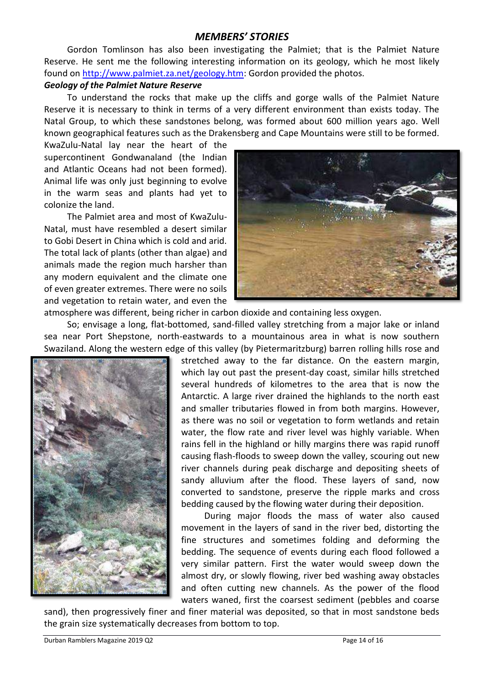#### *MEMBERS' STORIES*

Gordon Tomlinson has also been investigating the Palmiet; that is the Palmiet Nature Reserve. He sent me the following interesting information on its geology, which he most likely found on [http://www.palmiet.za.net/geology.htm:](http://www.palmiet.za.net/geology.htm) Gordon provided the photos.

#### *Geology of the Palmiet Nature Reserve*

To understand the rocks that make up the cliffs and gorge walls of the Palmiet Nature Reserve it is necessary to think in terms of a very different environment than exists today. The Natal Group, to which these sandstones belong, was formed about 600 million years ago. Well known geographical features such as the Drakensberg and Cape Mountains were still to be formed.

KwaZulu-Natal lay near the heart of the supercontinent Gondwanaland (the Indian and Atlantic Oceans had not been formed). Animal life was only just beginning to evolve in the warm seas and plants had yet to colonize the land.

The Palmiet area and most of KwaZulu-Natal, must have resembled a desert similar to Gobi Desert in China which is cold and arid. The total lack of plants (other than algae) and animals made the region much harsher than any modern equivalent and the climate one of even greater extremes. There were no soils and vegetation to retain water, and even the



atmosphere was different, being richer in carbon dioxide and containing less oxygen.

So; envisage a long, flat-bottomed, sand-filled valley stretching from a major lake or inland sea near Port Shepstone, north-eastwards to a mountainous area in what is now southern Swaziland. Along the western edge of this valley (by Pietermaritzburg) barren rolling hills rose and



stretched away to the far distance. On the eastern margin, which lay out past the present-day coast, similar hills stretched several hundreds of kilometres to the area that is now the Antarctic. A large river drained the highlands to the north east and smaller tributaries flowed in from both margins. However, as there was no soil or vegetation to form wetlands and retain water, the flow rate and river level was highly variable. When rains fell in the highland or hilly margins there was rapid runoff causing flash-floods to sweep down the valley, scouring out new river channels during peak discharge and depositing sheets of sandy alluvium after the flood. These layers of sand, now converted to sandstone, preserve the ripple marks and cross bedding caused by the flowing water during their deposition.

During major floods the mass of water also caused movement in the layers of sand in the river bed, distorting the fine structures and sometimes folding and deforming the bedding. The sequence of events during each flood followed a very similar pattern. First the water would sweep down the almost dry, or slowly flowing, river bed washing away obstacles and often cutting new channels. As the power of the flood waters waned, first the coarsest sediment (pebbles and coarse

sand), then progressively finer and finer material was deposited, so that in most sandstone beds the grain size systematically decreases from bottom to top.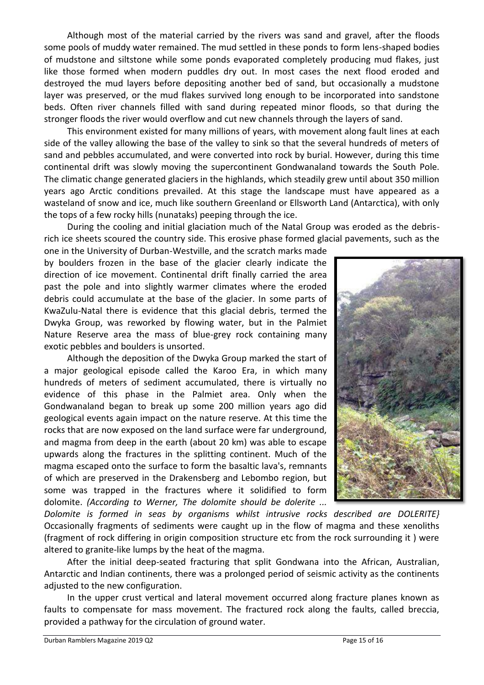Although most of the material carried by the rivers was sand and gravel, after the floods some pools of muddy water remained. The mud settled in these ponds to form lens-shaped bodies of mudstone and siltstone while some ponds evaporated completely producing mud flakes, just like those formed when modern puddles dry out. In most cases the next flood eroded and destroyed the mud layers before depositing another bed of sand, but occasionally a mudstone layer was preserved, or the mud flakes survived long enough to be incorporated into sandstone beds. Often river channels filled with sand during repeated minor floods, so that during the stronger floods the river would overflow and cut new channels through the layers of sand.

This environment existed for many millions of years, with movement along fault lines at each side of the valley allowing the base of the valley to sink so that the several hundreds of meters of sand and pebbles accumulated, and were converted into rock by burial. However, during this time continental drift was slowly moving the supercontinent Gondwanaland towards the South Pole. The climatic change generated glaciers in the highlands, which steadily grew until about 350 million years ago Arctic conditions prevailed. At this stage the landscape must have appeared as a wasteland of snow and ice, much like southern Greenland or Ellsworth Land (Antarctica), with only the tops of a few rocky hills (nunataks) peeping through the ice.

During the cooling and initial glaciation much of the Natal Group was eroded as the debrisrich ice sheets scoured the country side. This erosive phase formed glacial pavements, such as the

one in the University of Durban-Westville, and the scratch marks made by boulders frozen in the base of the glacier clearly indicate the direction of ice movement. Continental drift finally carried the area past the pole and into slightly warmer climates where the eroded debris could accumulate at the base of the glacier. In some parts of KwaZulu-Natal there is evidence that this glacial debris, termed the Dwyka Group, was reworked by flowing water, but in the Palmiet Nature Reserve area the mass of blue-grey rock containing many exotic pebbles and boulders is unsorted.

Although the deposition of the Dwyka Group marked the start of a major geological episode called the Karoo Era, in which many hundreds of meters of sediment accumulated, there is virtually no evidence of this phase in the Palmiet area. Only when the Gondwanaland began to break up some 200 million years ago did geological events again impact on the nature reserve. At this time the rocks that are now exposed on the land surface were far underground, and magma from deep in the earth (about 20 km) was able to escape upwards along the fractures in the splitting continent. Much of the magma escaped onto the surface to form the basaltic lava's, remnants of which are preserved in the Drakensberg and Lebombo region, but some was trapped in the fractures where it solidified to form dolomite. *(According to Werner, The dolomite should be dolerite ...* 



*Dolomite is formed in seas by organisms whilst intrusive rocks described are DOLERITE}* Occasionally fragments of sediments were caught up in the flow of magma and these xenoliths (fragment of rock differing in origin composition structure etc from the rock surrounding it ) were altered to granite-like lumps by the heat of the magma.

After the initial deep-seated fracturing that split Gondwana into the African, Australian, Antarctic and Indian continents, there was a prolonged period of seismic activity as the continents adjusted to the new configuration.

In the upper crust vertical and lateral movement occurred along fracture planes known as faults to compensate for mass movement. The fractured rock along the faults, called breccia, provided a pathway for the circulation of ground water.